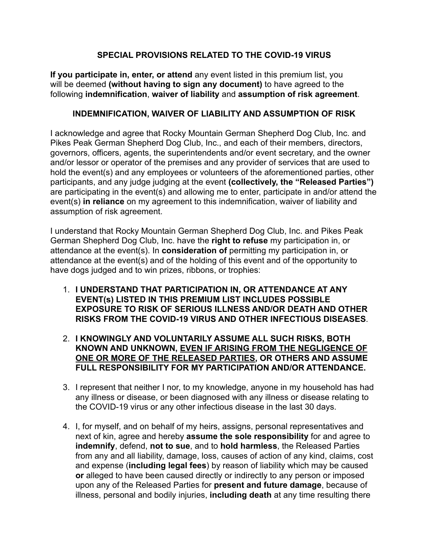## **SPECIAL PROVISIONS RELATED TO THE COVID-19 VIRUS**

**If you participate in, enter, or attend** any event listed in this premium list, you will be deemed **(without having to sign any document)** to have agreed to the following **indemnification**, **waiver of liability** and **assumption of risk agreement**.

## **INDEMNIFICATION, WAIVER OF LIABILITY AND ASSUMPTION OF RISK**

I acknowledge and agree that Rocky Mountain German Shepherd Dog Club, Inc. and Pikes Peak German Shepherd Dog Club, Inc., and each of their members, directors, governors, officers, agents, the superintendents and/or event secretary, and the owner and/or lessor or operator of the premises and any provider of services that are used to hold the event(s) and any employees or volunteers of the aforementioned parties, other participants, and any judge judging at the event **(collectively, the "Released Parties")** are participating in the event(s) and allowing me to enter, participate in and/or attend the event(s) **in reliance** on my agreement to this indemnification, waiver of liability and assumption of risk agreement.

I understand that Rocky Mountain German Shepherd Dog Club, Inc. and Pikes Peak German Shepherd Dog Club, Inc. have the **right to refuse** my participation in, or attendance at the event(s). In **consideration of** permitting my participation in, or attendance at the event(s) and of the holding of this event and of the opportunity to have dogs judged and to win prizes, ribbons, or trophies:

- 1. **I UNDERSTAND THAT PARTICIPATION IN, OR ATTENDANCE AT ANY EVENT(s) LISTED IN THIS PREMIUM LIST INCLUDES POSSIBLE EXPOSURE TO RISK OF SERIOUS ILLNESS AND/OR DEATH AND OTHER RISKS FROM THE COVID-19 VIRUS AND OTHER INFECTIOUS DISEASES**.
- 2. **I KNOWINGLY AND VOLUNTARILY ASSUME ALL SUCH RISKS, BOTH KNOWN AND UNKNOWN, EVEN IF ARISING FROM THE NEGLIGENCE OF ONE OR MORE OF THE RELEASED PARTIES, OR OTHERS AND ASSUME FULL RESPONSIBILITY FOR MY PARTICIPATION AND/OR ATTENDANCE.**
- 3. I represent that neither I nor, to my knowledge, anyone in my household has had any illness or disease, or been diagnosed with any illness or disease relating to the COVID-19 virus or any other infectious disease in the last 30 days.
- 4. I, for myself, and on behalf of my heirs, assigns, personal representatives and next of kin, agree and hereby **assume the sole responsibility** for and agree to **indemnify**, defend, **not to sue**, and to **hold harmless**, the Released Parties from any and all liability, damage, loss, causes of action of any kind, claims, cost and expense (**including legal fees**) by reason of liability which may be caused **or** alleged to have been caused directly or indirectly to any person or imposed upon any of the Released Parties for **present and future damage**, because of illness, personal and bodily injuries, **including death** at any time resulting there